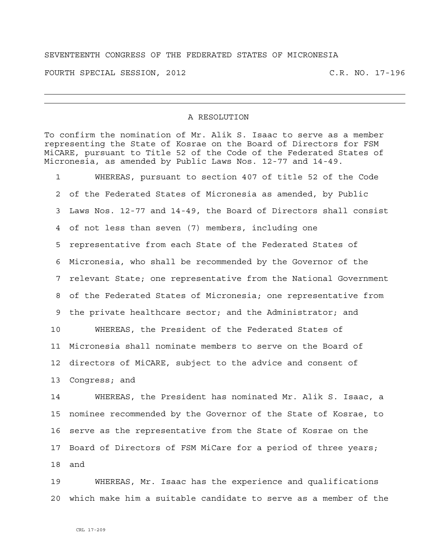## SEVENTEENTH CONGRESS OF THE FEDERATED STATES OF MICRONESIA

FOURTH SPECIAL SESSION, 2012 C.R. NO. 17-196

## A RESOLUTION

To confirm the nomination of Mr. Alik S. Isaac to serve as a member representing the State of Kosrae on the Board of Directors for FSM MiCARE, pursuant to Title 52 of the Code of the Federated States of Micronesia, as amended by Public Laws Nos. 12-77 and 14-49.

1 WHEREAS, pursuant to section 407 of title 52 of the Code 2 of the Federated States of Micronesia as amended, by Public 3 Laws Nos. 12-77 and 14-49, the Board of Directors shall consist 4 of not less than seven (7) members, including one 5 representative from each State of the Federated States of 6 Micronesia, who shall be recommended by the Governor of the 7 relevant State; one representative from the National Government 8 of the Federated States of Micronesia; one representative from 9 the private healthcare sector; and the Administrator; and 10 WHEREAS, the President of the Federated States of 11 Micronesia shall nominate members to serve on the Board of 12 directors of MiCARE, subject to the advice and consent of

13 Congress; and

14 WHEREAS, the President has nominated Mr. Alik S. Isaac, a 15 nominee recommended by the Governor of the State of Kosrae, to 16 serve as the representative from the State of Kosrae on the 17 Board of Directors of FSM MiCare for a period of three years; 18 and

19 WHEREAS, Mr. Isaac has the experience and qualifications 20 which make him a suitable candidate to serve as a member of the